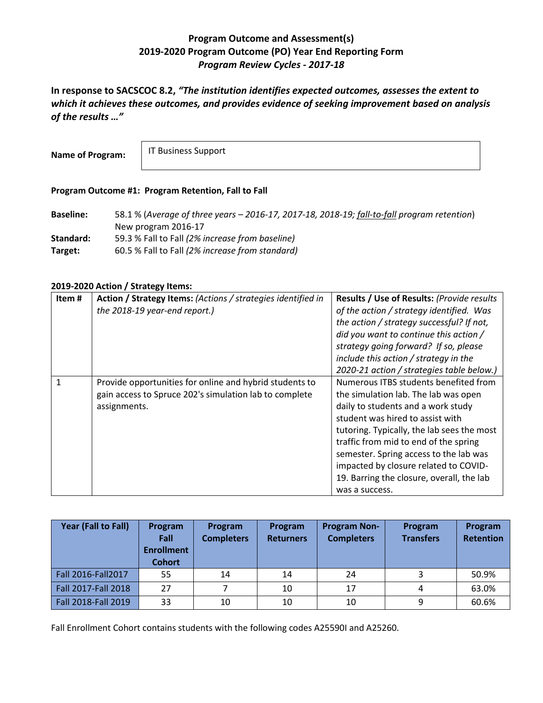## **Program Outcome and Assessment(s) 2019-2020 Program Outcome (PO) Year End Reporting Form** *Program Review Cycles - 2017-18*

**In response to SACSCOC 8.2,** *"The institution identifies expected outcomes, assesses the extent to which it achieves these outcomes, and provides evidence of seeking improvement based on analysis of the results …"*

**Name of Program:**

IT Business Support

## **Program Outcome #1: Program Retention, Fall to Fall**

**Baseline:** 58.1 % (*Average of three years – 2016-17, 2017-18, 2018-19; fall-to-fall program retention*) New program 2016-17 **Standard:** 59.3 % Fall to Fall *(2% increase from baseline)* **Target:** 60.5 % Fall to Fall *(2% increase from standard)*

## **2019-2020 Action / Strategy Items:**

| 2020-21 action / strategies table below.)<br>Numerous ITBS students benefited from<br>Provide opportunities for online and hybrid students to<br>gain access to Spruce 202's simulation lab to complete<br>the simulation lab. The lab was open<br>daily to students and a work study<br>assignments.<br>student was hired to assist with<br>tutoring. Typically, the lab sees the most<br>traffic from mid to end of the spring<br>semester. Spring access to the lab was<br>impacted by closure related to COVID- | Item# | Action / Strategy Items: (Actions / strategies identified in<br>the 2018-19 year-end report.) | Results / Use of Results: (Provide results<br>of the action / strategy identified. Was<br>the action / strategy successful? If not,<br>did you want to continue this action /<br>strategy going forward? If so, please<br>include this action / strategy in the |
|---------------------------------------------------------------------------------------------------------------------------------------------------------------------------------------------------------------------------------------------------------------------------------------------------------------------------------------------------------------------------------------------------------------------------------------------------------------------------------------------------------------------|-------|-----------------------------------------------------------------------------------------------|-----------------------------------------------------------------------------------------------------------------------------------------------------------------------------------------------------------------------------------------------------------------|
|                                                                                                                                                                                                                                                                                                                                                                                                                                                                                                                     |       |                                                                                               | 19. Barring the closure, overall, the lab                                                                                                                                                                                                                       |

| Year (Fall to Fall) | Program<br>Fall<br><b>Enrollment</b><br><b>Cohort</b> | Program<br><b>Completers</b> | Program<br><b>Returners</b> | <b>Program Non-</b><br><b>Completers</b> | Program<br><b>Transfers</b> | Program<br><b>Retention</b> |
|---------------------|-------------------------------------------------------|------------------------------|-----------------------------|------------------------------------------|-----------------------------|-----------------------------|
| Fall 2016-Fall 2017 | 55                                                    | 14                           | 14                          | 24                                       |                             | 50.9%                       |
| Fall 2017-Fall 2018 | 27                                                    |                              | 10                          | 17                                       | 4                           | 63.0%                       |
| Fall 2018-Fall 2019 | 33                                                    | 10                           | 10                          | 10                                       | 9                           | 60.6%                       |

Fall Enrollment Cohort contains students with the following codes A25590I and A25260.